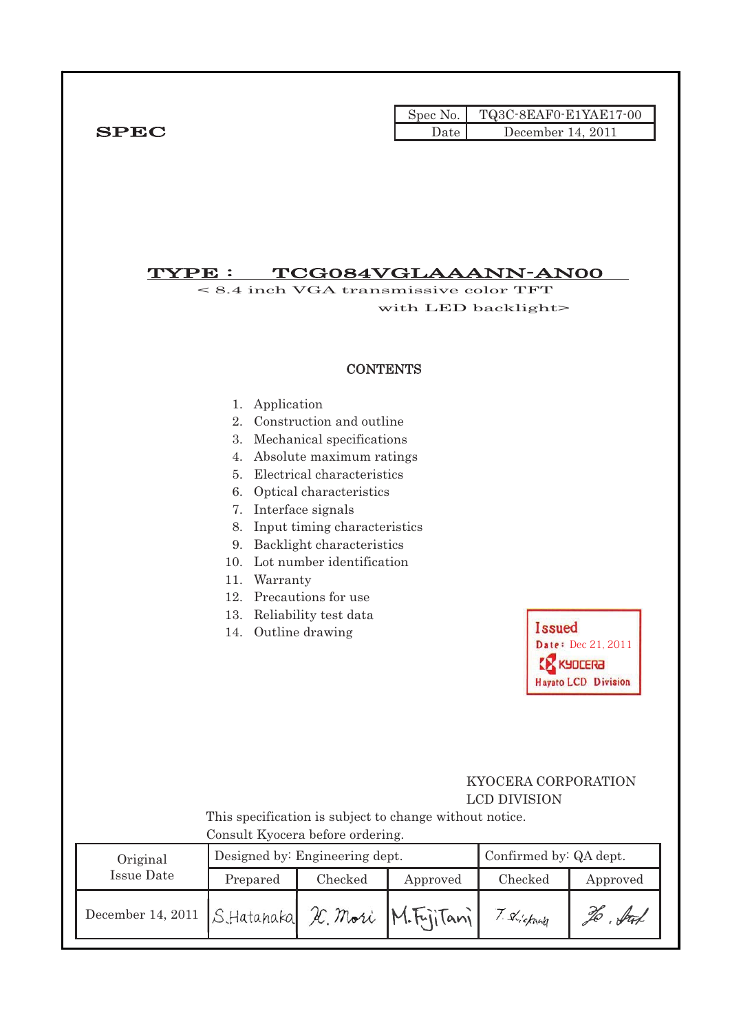|             |      | $\text{Spec No.}$ $\blacksquare$ TQ3C-8EAF0-E1YAE17-00 |
|-------------|------|--------------------------------------------------------|
| <b>SPEC</b> | Date | December 14, 2011                                      |

# $\overline{\text{TYPE}}: \quad \textcolor{red}{\text{TCGO84VGLAAANN-ANOO}}$

< 8.4 inch VGA transmissive color TFT with LED backlight>

#### **CONTENTS**

- 1. Application
- 2. Construction and outline
- 3. Mechanical specifications
- 4. Absolute maximum ratings
- 5. Electrical characteristics
- 6. Optical characteristics
- 7. Interface signals
- 8. Input timing characteristics
- 9. Backlight characteristics
- 10. Lot number identification
- 11. Warranty
- 12. Precautions for use
- 13. Reliability test data
- 14. Outline drawing

**Issued** Date: Dec 21, 2011 **EX KYDCERA** Hayato LCD Division

i<br>L

### KYOCERA CORPORATION LCD DIVISION

 This specification is subject to change without notice. Consult Kyocera before ordering.

| Original                                        |          | Designed by: Engineering dept. | Confirmed by: QA dept. |           |            |
|-------------------------------------------------|----------|--------------------------------|------------------------|-----------|------------|
| Issue Date                                      | Prepared | Checked                        | Approved               | Checked   | Approved   |
| December 14, 2011 S.Hatanaka K. Mori M.Fujitani |          |                                |                        | Shickward | . ful<br>% |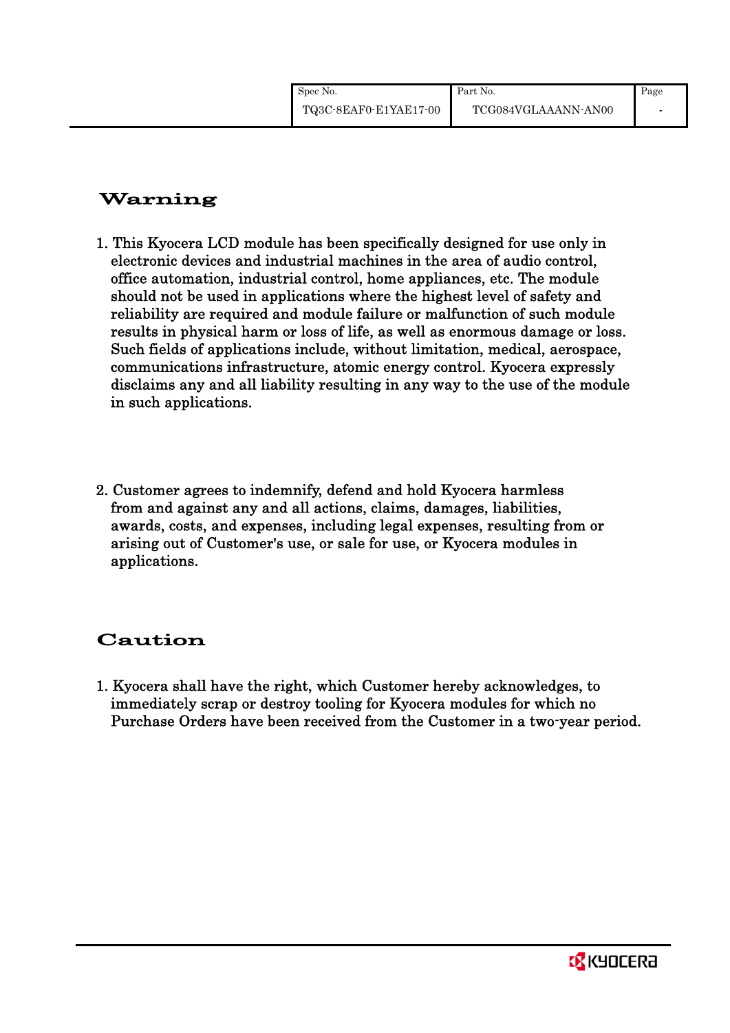# Warning

- 1. This Kyocera LCD module has been specifically designed for use only in electronic devices and industrial machines in the area of audio control, office automation, industrial control, home appliances, etc. The module should not be used in applications where the highest level of safety and reliability are required and module failure or malfunction of such module results in physical harm or loss of life, as well as enormous damage or loss. Such fields of applications include, without limitation, medical, aerospace, communications infrastructure, atomic energy control. Kyocera expressly disclaims any and all liability resulting in any way to the use of the module in such applications.
- 2. Customer agrees to indemnify, defend and hold Kyocera harmless from and against any and all actions, claims, damages, liabilities, awards, costs, and expenses, including legal expenses, resulting from or arising out of Customer's use, or sale for use, or Kyocera modules in applications.

# Caution

1. Kyocera shall have the right, which Customer hereby acknowledges, to immediately scrap or destroy tooling for Kyocera modules for which no Purchase Orders have been received from the Customer in a two-year period.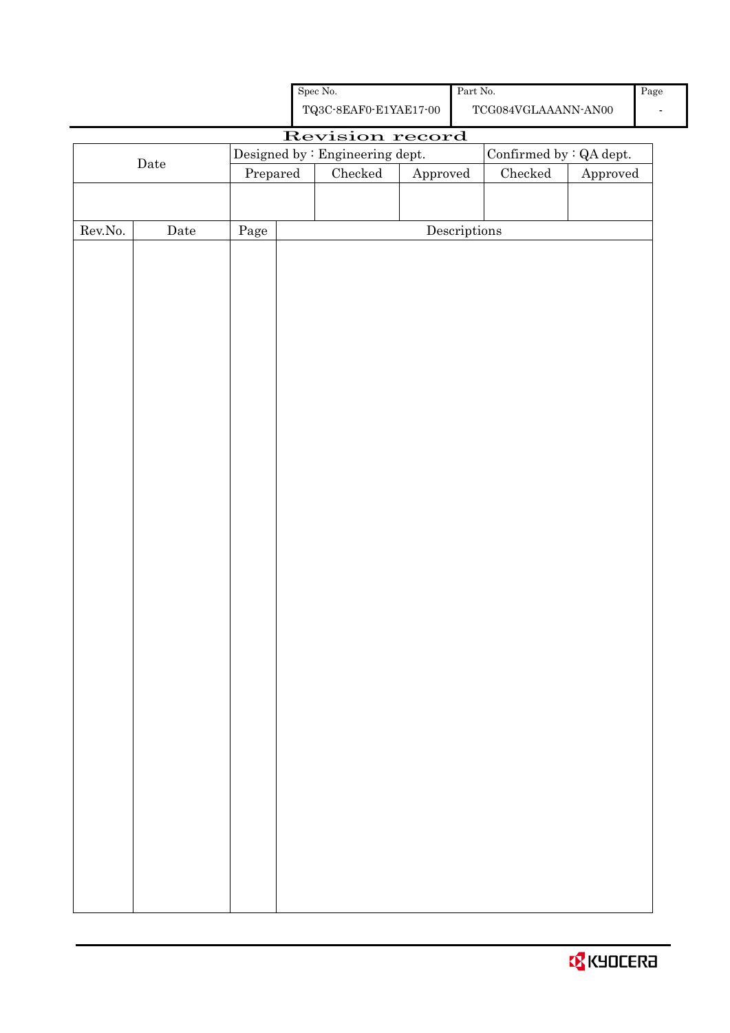| <b>B</b> KYOCERA |  |  |  |  |
|------------------|--|--|--|--|
|------------------|--|--|--|--|

|                  |                      |          | ${\rm Spec}$ No.                                   |          | Part $\mbox{No.}$                    |                                             |          | Pag |
|------------------|----------------------|----------|----------------------------------------------------|----------|--------------------------------------|---------------------------------------------|----------|-----|
|                  |                      |          | ${\bf TQ3C\text{-}SEAF0\text{-}E1YAE17\text{-}00}$ |          |                                      | $\operatorname{TCG084VGLAAANN\text{-}ANO0}$ |          |     |
|                  |                      |          | Revision record                                    |          |                                      |                                             |          |     |
|                  | $\rm{Date}$          |          | Designed by : Engineering dept.                    |          |                                      | Confirmed by : QA dept.                     |          |     |
|                  |                      | Prepared | $\rm Checked$                                      | Approved |                                      | $\rm Checked$                               | Approved |     |
|                  |                      |          |                                                    |          |                                      |                                             |          |     |
| ${\rm Rev. No.}$ | $\rm{\textbf{Date}}$ | Page     |                                                    |          | $\label{eq:2} \textbf{Descriptions}$ |                                             |          |     |
|                  |                      |          |                                                    |          |                                      |                                             |          |     |
|                  |                      |          |                                                    |          |                                      |                                             |          |     |
|                  |                      |          |                                                    |          |                                      |                                             |          |     |
|                  |                      |          |                                                    |          |                                      |                                             |          |     |
|                  |                      |          |                                                    |          |                                      |                                             |          |     |
|                  |                      |          |                                                    |          |                                      |                                             |          |     |
|                  |                      |          |                                                    |          |                                      |                                             |          |     |
|                  |                      |          |                                                    |          |                                      |                                             |          |     |
|                  |                      |          |                                                    |          |                                      |                                             |          |     |
|                  |                      |          |                                                    |          |                                      |                                             |          |     |
|                  |                      |          |                                                    |          |                                      |                                             |          |     |
|                  |                      |          |                                                    |          |                                      |                                             |          |     |
|                  |                      |          |                                                    |          |                                      |                                             |          |     |
|                  |                      |          |                                                    |          |                                      |                                             |          |     |
|                  |                      |          |                                                    |          |                                      |                                             |          |     |
|                  |                      |          |                                                    |          |                                      |                                             |          |     |
|                  |                      |          |                                                    |          |                                      |                                             |          |     |
|                  |                      |          |                                                    |          |                                      |                                             |          |     |
|                  |                      |          |                                                    |          |                                      |                                             |          |     |
|                  |                      |          |                                                    |          |                                      |                                             |          |     |
|                  |                      |          |                                                    |          |                                      |                                             |          |     |
|                  |                      |          |                                                    |          |                                      |                                             |          |     |
|                  |                      |          |                                                    |          |                                      |                                             |          |     |
|                  |                      |          |                                                    |          |                                      |                                             |          |     |
|                  |                      |          |                                                    |          |                                      |                                             |          |     |
|                  |                      |          |                                                    |          |                                      |                                             |          |     |
|                  |                      |          |                                                    |          |                                      |                                             |          |     |
|                  |                      |          |                                                    |          |                                      |                                             |          |     |
|                  |                      |          |                                                    |          |                                      |                                             |          |     |
|                  |                      |          |                                                    |          |                                      |                                             |          |     |
|                  |                      |          |                                                    |          |                                      |                                             |          |     |
|                  |                      |          |                                                    |          |                                      |                                             |          |     |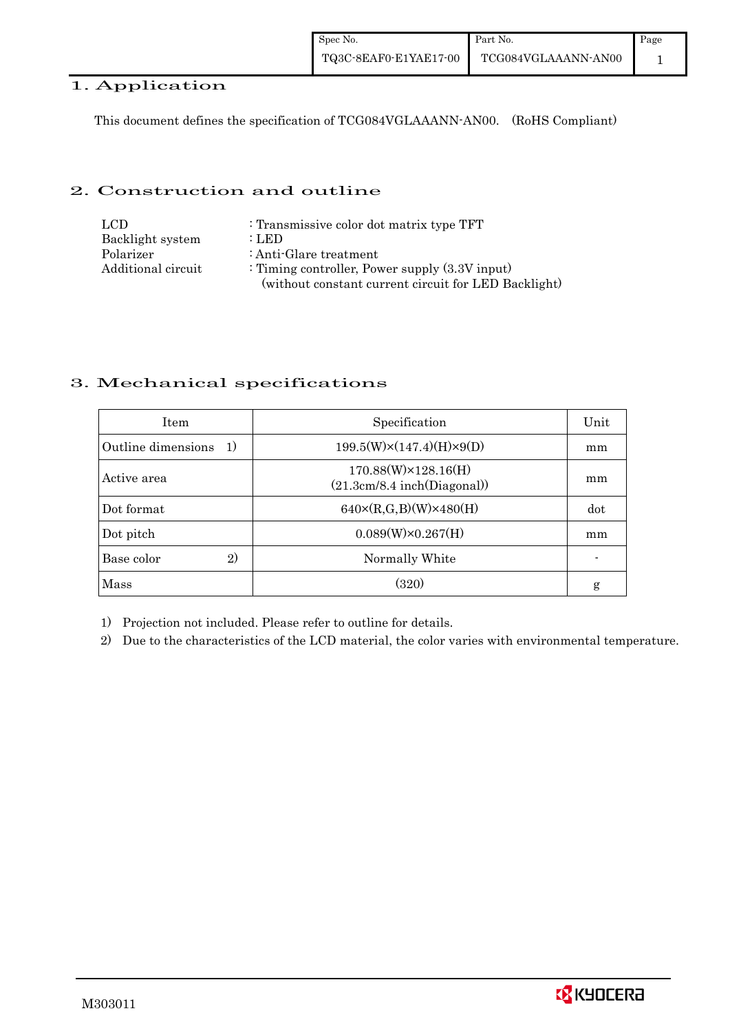| Spec No.              | Part No.            | Page |
|-----------------------|---------------------|------|
| TQ3C-8EAF0-E1YAE17-00 | TCG084VGLAAANN-AN00 |      |

# 1. Application

This document defines the specification of TCG084VGLAAANN-AN00. (RoHS Compliant)

#### 2. Construction and outline

| LCD.               | : Transmissive color dot matrix type TFT             |
|--------------------|------------------------------------------------------|
| Backlight system   | : LED                                                |
| Polarizer          | : Anti-Glare treatment                               |
| Additional circuit | : Timing controller, Power supply $(3.3V)$ input)    |
|                    | (without constant current circuit for LED Backlight) |

#### 3. Mechanical specifications

| <b>Item</b>                        | Specification                                              | Unit |
|------------------------------------|------------------------------------------------------------|------|
| Outline dimensions<br><sup>1</sup> | $199.5(W)\times(147.4)(H)\times9(D)$                       | mm   |
| Active area                        | $170.88(W)\times 128.16(H)$<br>(21.3cm/8.4 inch(Diagonal)) | mm   |
| Dot format                         | $640 \times (R,G,B)(W) \times 480(H)$                      | dot  |
| Dot pitch                          | $0.089(W)\times0.267(H)$                                   | mm   |
| 2)<br>Base color                   | Normally White                                             |      |
| Mass                               | (320)                                                      | g    |

1) Projection not included. Please refer to outline for details.

2) Due to the characteristics of the LCD material, the color varies with environmental temperature.

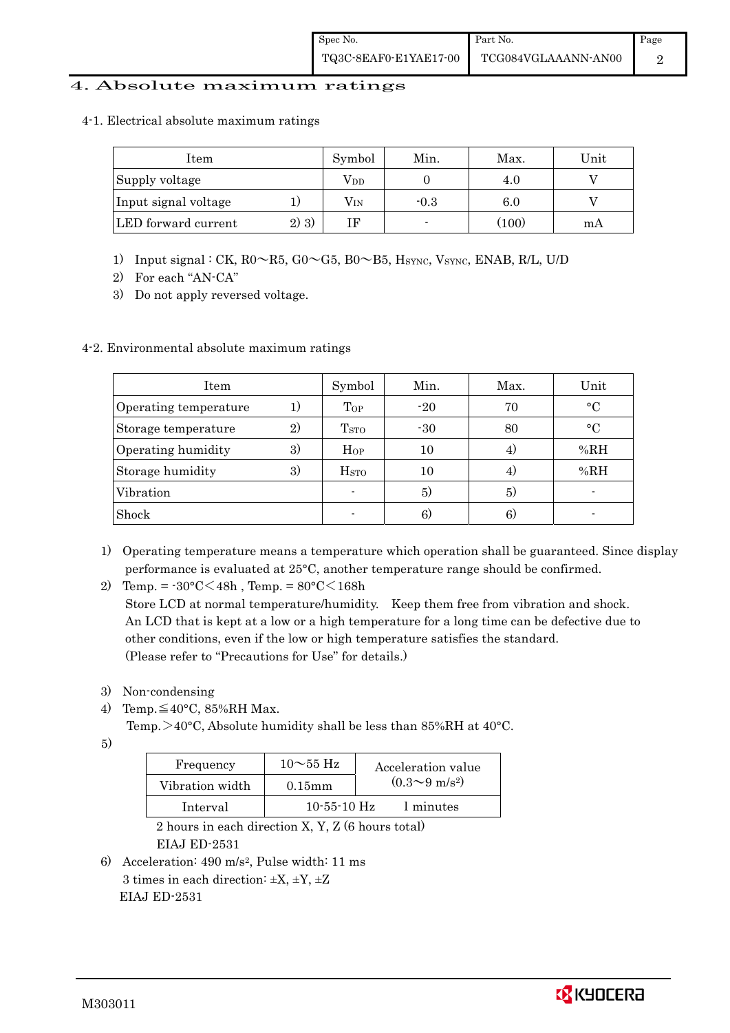#### 4. Absolute maximum ratings

4-1. Electrical absolute maximum ratings

| Item                 |         | Symbol       | Min.   | Max.  | Unit |
|----------------------|---------|--------------|--------|-------|------|
| Supply voltage       |         | $\rm V_{DD}$ |        | 4.0   |      |
| Input signal voltage |         | $\rm V_{IN}$ | $-0.3$ | 6.0   |      |
| LED forward current  | $2)$ 3) |              |        | (100) | mА   |

- 1) Input signal : CK, R0~R5, G0~G5, B0~B5, HSYNC, VSYNC, ENAB, R/L, U/D
- 2) For each "AN-CA"
- 3) Do not apply reversed voltage.

#### 4-2. Environmental absolute maximum ratings

| Item                  |    | Symbol             | Min.  | Max. | Unit        |
|-----------------------|----|--------------------|-------|------|-------------|
| Operating temperature |    | $\mathrm{T_{OP}}$  | $-20$ | 70   | $^{\circ}C$ |
| Storage temperature   | 2) | T <sub>STO</sub>   | $-30$ | 80   | $^{\circ}C$ |
| Operating humidity    | 3) | Hop                | 10    |      | %RH         |
| Storage humidity      | 3) | $_{\mathrm{HSTO}}$ | 10    | 4)   | %RH         |
| Vibration             |    |                    | 5)    | 5)   |             |
| Shock                 |    |                    | 6)    | 6)   |             |

- 1) Operating temperature means a temperature which operation shall be guaranteed. Since display performance is evaluated at 25°C, another temperature range should be confirmed.
- 2) Temp. =  $-30^{\circ}$ C $<$ 48h, Temp. =  $80^{\circ}$ C $<$ 168h

 Store LCD at normal temperature/humidity. Keep them free from vibration and shock. An LCD that is kept at a low or a high temperature for a long time can be defective due to other conditions, even if the low or high temperature satisfies the standard. (Please refer to "Precautions for Use" for details.)

- 3) Non-condensing
- 4) Temp. $\leq 40^{\circ}$ C, 85%RH Max.

Temp.  $>40^{\circ}$ C, Absolute humidity shall be less than 85%RH at 40 $^{\circ}$ C.

5)

| Frequency       | $10\sim$ 55 Hz    | Acceleration value           |
|-----------------|-------------------|------------------------------|
| Vibration width | $0.15$ mm         | $(0.3 \sim 9 \text{ m/s}^2)$ |
| Interval        | $10 - 55 - 10$ Hz | 1 minutes                    |

 2 hours in each direction X, Y, Z (6 hours total) EIAJ ED-2531

6) Acceleration: 490 m/s2, Pulse width: 11 ms 3 times in each direction:  $\pm X$ ,  $\pm Y$ ,  $\pm Z$ EIAJ ED-2531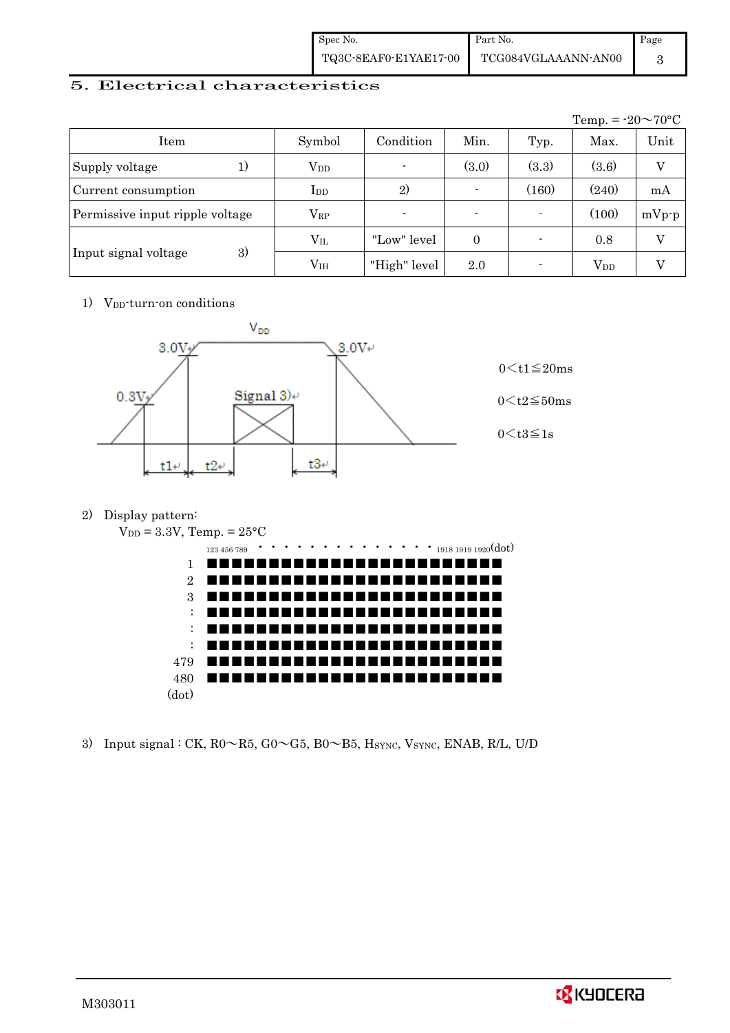| Spec No.              | Part No.            | Page |
|-----------------------|---------------------|------|
| TQ3C-8EAF0-E1YAE17-00 | TCG084VGLAAANN-AN00 |      |

### 5. Electrical characteristics

|                                 |               |                          |                          |       | Temp. = $-20 \sim 70$ °C |          |
|---------------------------------|---------------|--------------------------|--------------------------|-------|--------------------------|----------|
| Item                            | Symbol        | Condition                | Min.                     | Typ.  | Max.                     | Unit     |
| Supply voltage<br>1)            | $V_{DD}$      | $\overline{\phantom{a}}$ | (3.0)                    | (3.3) | (3.6)                    | $\rm _V$ |
| Current consumption             | $_{\rm{LDD}}$ | 2)                       | $\blacksquare$           | (160) | (240)                    | mA       |
| Permissive input ripple voltage | $\rm V_{RP}$  | $\blacksquare$           | $\overline{\phantom{0}}$ |       | (100)                    | $mVp-p$  |
|                                 | $\rm V_{II}$  | "Low" level              | $\theta$                 |       | 0.8                      | V        |
| 3)<br>Input signal voltage      | $\rm V_{IH}$  | "High" level             | 2.0                      |       | $\rm V_{DD}$             |          |

1) V<sub>DD</sub>-turn-on conditions



2) Display pattern:



3) Input signal : CK,  $R0 \sim R5$ ,  $G0 \sim G5$ ,  $B0 \sim B5$ , Hsync, Vsync, ENAB, R/L, U/D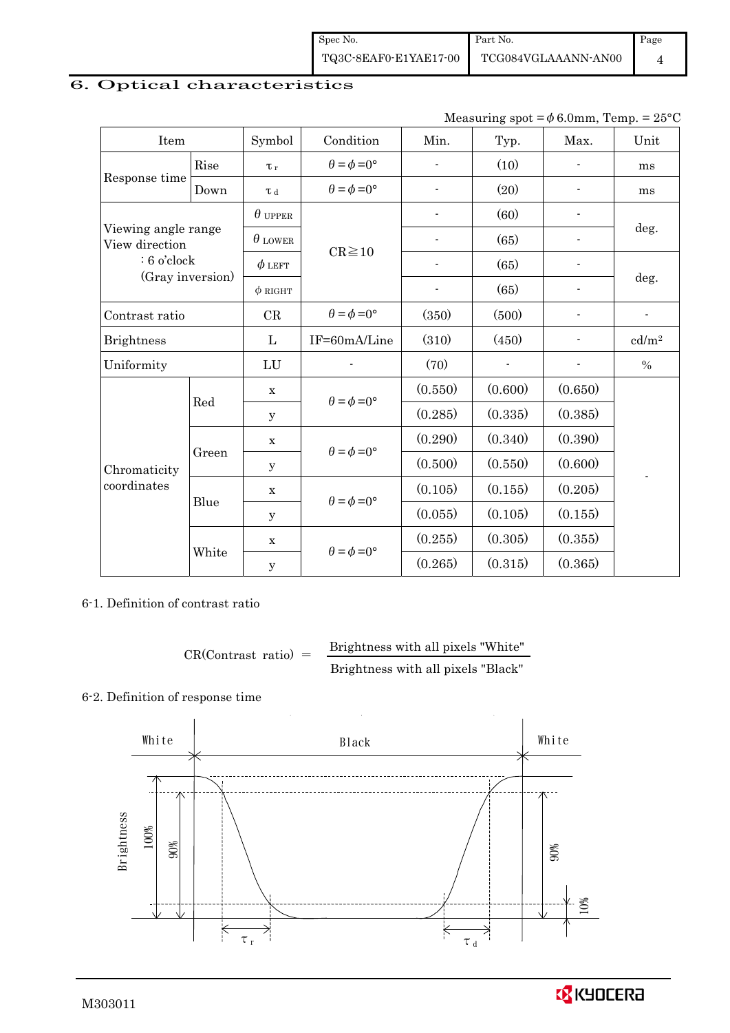Spec No. TQ3C-8EAF0-E1YAE17-00 Part No. TCG084VGLAAANN-AN00 Page 4

# 6. Optical characteristics

|  | Measuring spot = $\phi$ 6.0mm, Temp. = 25°C |  |  |
|--|---------------------------------------------|--|--|
|--|---------------------------------------------|--|--|

| Item                                  |       | Symbol              | Condition                   | Min.                     | Typ.    | Max.                     | Unit              |  |
|---------------------------------------|-------|---------------------|-----------------------------|--------------------------|---------|--------------------------|-------------------|--|
|                                       | Rise  | $\tau_r$            | $\theta = \phi = 0^{\circ}$ | ÷,                       | (10)    |                          | ms                |  |
| Response time                         | Down  | $\tau$ <sub>d</sub> | $\theta = \phi = 0^{\circ}$ | $\overline{\phantom{a}}$ | (20)    | $\overline{\phantom{a}}$ | ms                |  |
|                                       |       | $\theta$ upper      |                             | ÷,                       | (60)    |                          |                   |  |
| Viewing angle range<br>View direction |       | $\theta$ LOWER      | $CR \ge 10$                 |                          | (65)    |                          | deg.              |  |
| $: 6$ o'clock                         |       | $\phi$ left         |                             |                          | (65)    |                          |                   |  |
| (Gray inversion)                      |       | $\phi$ RIGHT        |                             |                          | (65)    | $\overline{a}$           | deg.              |  |
| Contrast ratio                        |       | CR                  | $\theta = \phi = 0^{\circ}$ | (350)                    | (500)   |                          | $\overline{a}$    |  |
| <b>Brightness</b>                     |       | L                   | IF=60mA/Line                | (310)                    | (450)   |                          | cd/m <sup>2</sup> |  |
| Uniformity                            |       | LU                  |                             | (70)                     |         |                          | $\%$              |  |
|                                       | Red   | $\mathbf X$         | $\theta = \phi = 0^{\circ}$ | (0.550)                  | (0.600) | (0.650)                  |                   |  |
|                                       |       | У                   |                             | (0.285)                  | (0.335) | (0.385)                  |                   |  |
|                                       |       | X                   | $\theta = \phi = 0^{\circ}$ | (0.290)                  | (0.340) | (0.390)                  |                   |  |
| Chromaticity                          | Green | У                   |                             | (0.500)                  | (0.550) | (0.600)                  |                   |  |
| coordinates                           | Blue  | $\mathbf X$         | $\theta = \phi = 0^{\circ}$ | (0.105)                  | (0.155) | (0.205)                  |                   |  |
|                                       |       | y                   |                             | (0.055)                  | (0.105) | (0.155)                  |                   |  |
|                                       |       | $\mathbf x$         | $\theta = \phi = 0^{\circ}$ | (0.255)                  | (0.305) | (0.355)                  |                   |  |
|                                       | White | $\mathbf y$         |                             | (0.265)                  | (0.315) | (0.365)                  |                   |  |

6-1. Definition of contrast ratio

$$
CR(Contrast ratio) = \frac{Brightness with all pixels "White" }{Brightness with all pixels "Black" }
$$

# 6-2. Definition of response time



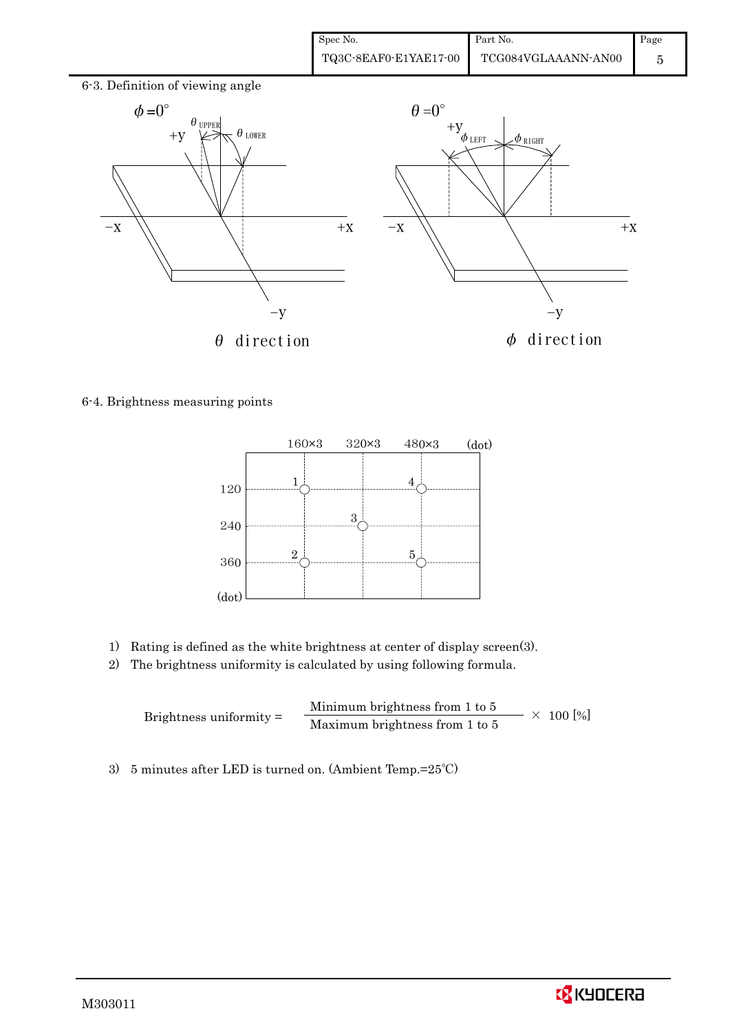| Spec No.              | Part No.            | Page |
|-----------------------|---------------------|------|
| TQ3C-8EAF0-E1YAE17-00 | TCG084VGLAAANN-AN00 |      |



6-4. Brightness measuring points



- 1) Rating is defined as the white brightness at center of display screen(3).
- 2) The brightness uniformity is calculated by using following formula.

Brightness uniformity = Minimum brightness from 1 to 5  $\times$  100 [%]<br>Maximum brightness from 1 to 5

3) 5 minutes after LED is turned on. (Ambient Temp.=25℃)

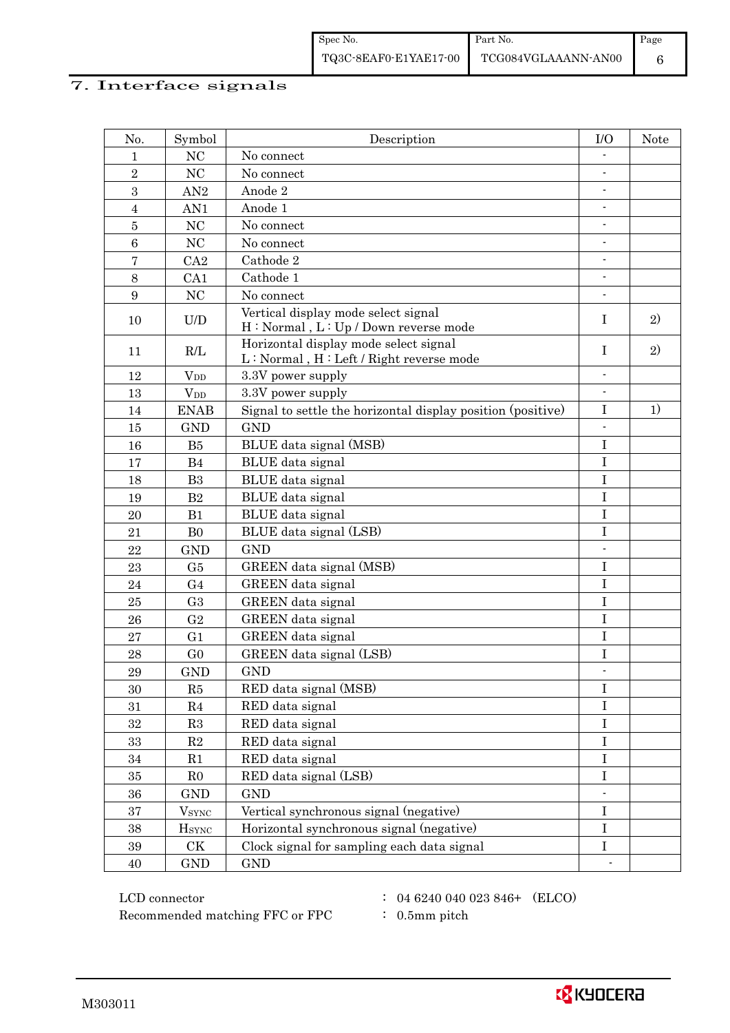# 7. Interface signals

| No.              | Symbol                                                   | Description                                                                                                                                   | I/O                      | <b>Note</b> |
|------------------|----------------------------------------------------------|-----------------------------------------------------------------------------------------------------------------------------------------------|--------------------------|-------------|
| 1                | NC                                                       | No connect                                                                                                                                    |                          |             |
| $\overline{2}$   | NC                                                       | No connect                                                                                                                                    | $\overline{\phantom{a}}$ |             |
| 3                | AN2                                                      | Anode 2                                                                                                                                       |                          |             |
| $\overline{4}$   | AN1                                                      | Anode 1                                                                                                                                       |                          |             |
| $\bf 5$          | NC                                                       | No connect                                                                                                                                    | $\overline{\phantom{a}}$ |             |
| $\,6$            | NC                                                       | No connect                                                                                                                                    |                          |             |
| $\bf 7$          | CA2                                                      | Cathode 2                                                                                                                                     | $\overline{\phantom{a}}$ |             |
| 8                | CA1                                                      | Cathode 1                                                                                                                                     | $\overline{\phantom{a}}$ |             |
| $\boldsymbol{9}$ | NC                                                       | No connect                                                                                                                                    |                          |             |
| 10               | $\ensuremath{\mathrm{U}}\xspace/\ensuremath{\mathrm{D}}$ | Vertical display mode select signal<br>H: Normal, L: Up / Down reverse mode                                                                   | I                        | 2)          |
| 11               | R/L                                                      | Horizontal display mode select signal<br>$\mathbf{L} : \mathbf{Normal}$ , $\mathbf{H} : \mathbf{Left} \mathop{/} \mathbf{Right}$ reverse mode | Ι                        | 2)          |
| 12               | <b>V</b> <sub>DD</sub>                                   | 3.3V power supply                                                                                                                             | $\overline{a}$           |             |
| 13               | <b>V</b> <sub>DD</sub>                                   | 3.3V power supply                                                                                                                             | $\overline{\phantom{a}}$ |             |
| 14               | <b>ENAB</b>                                              | Signal to settle the horizontal display position (positive)                                                                                   | $\bf I$                  | 1)          |
| 15               | <b>GND</b>                                               | <b>GND</b>                                                                                                                                    |                          |             |
| 16               | B <sub>5</sub>                                           | BLUE data signal (MSB)                                                                                                                        | $\bf I$                  |             |
| 17               | B4                                                       | BLUE data signal                                                                                                                              | $\mathbf I$              |             |
| 18               | B <sub>3</sub>                                           | BLUE data signal                                                                                                                              | $\rm I$                  |             |
| 19               | B <sub>2</sub>                                           | BLUE data signal                                                                                                                              | $\bf I$                  |             |
| 20               | B1                                                       | BLUE data signal                                                                                                                              | $\mathbf I$              |             |
| 21               | B <sub>0</sub>                                           | BLUE data signal (LSB)                                                                                                                        | $\bf I$                  |             |
| 22               | <b>GND</b>                                               | <b>GND</b>                                                                                                                                    | $\overline{a}$           |             |
| 23               | G5                                                       | GREEN data signal (MSB)                                                                                                                       | $\bf I$                  |             |
| 24               | G <sub>4</sub>                                           | GREEN data signal                                                                                                                             | $\bf I$                  |             |
| 25               | G <sub>3</sub>                                           | GREEN data signal                                                                                                                             | $\mathbf I$              |             |
| 26               | G <sub>2</sub>                                           | GREEN data signal                                                                                                                             | $\mathbf I$              |             |
| 27               | G <sub>1</sub>                                           | GREEN data signal                                                                                                                             | $\bf I$                  |             |
| 28               | G <sub>0</sub>                                           | GREEN data signal (LSB)                                                                                                                       | $\mathbf I$              |             |
| 29               | <b>GND</b>                                               | <b>GND</b>                                                                                                                                    | $\overline{\phantom{a}}$ |             |
| 30               | R5                                                       | RED data signal (MSB)                                                                                                                         | $\bf I$                  |             |
| 31               | R <sub>4</sub>                                           | RED data signal                                                                                                                               | $\bf I$                  |             |
| 32               | R3                                                       | RED data signal                                                                                                                               | $\bf I$                  |             |
| 33               | $\mathbf{R}2$                                            | RED data signal                                                                                                                               | $\bf I$                  |             |
| 34               | R1                                                       | RED data signal                                                                                                                               | $\bf I$                  |             |
| $35\,$           | R <sub>0</sub>                                           | RED data signal (LSB)                                                                                                                         | $\rm I$                  |             |
| 36               | <b>GND</b>                                               | <b>GND</b>                                                                                                                                    |                          |             |
| $\rm 37$         | <b>V</b> <sub>SYNC</sub>                                 | Vertical synchronous signal (negative)                                                                                                        | $\bf I$                  |             |
| $38\,$           | <b>H</b> <sub>SYNC</sub>                                 | Horizontal synchronous signal (negative)                                                                                                      | $\bf I$                  |             |
| $39\,$           | $\mathrm{C}\mathrm{K}$                                   | Clock signal for sampling each data signal                                                                                                    | $\rm I$                  |             |
| 40               | $\mathop{\rm GND}$                                       | <b>GND</b>                                                                                                                                    |                          |             |

 $\rm{LCD~connector} \hspace{1.5cm} : \hspace{1.5cm} 04 \hspace{0.05cm} 6240 \hspace{0.05cm} 040 \hspace{0.05cm} 023 \hspace{0.05cm} 846+ \hspace{0.05cm} \rm{(ELCO)}$ Recommended matching FFC or FPC  $\qquad : 0.5$ mm pitch

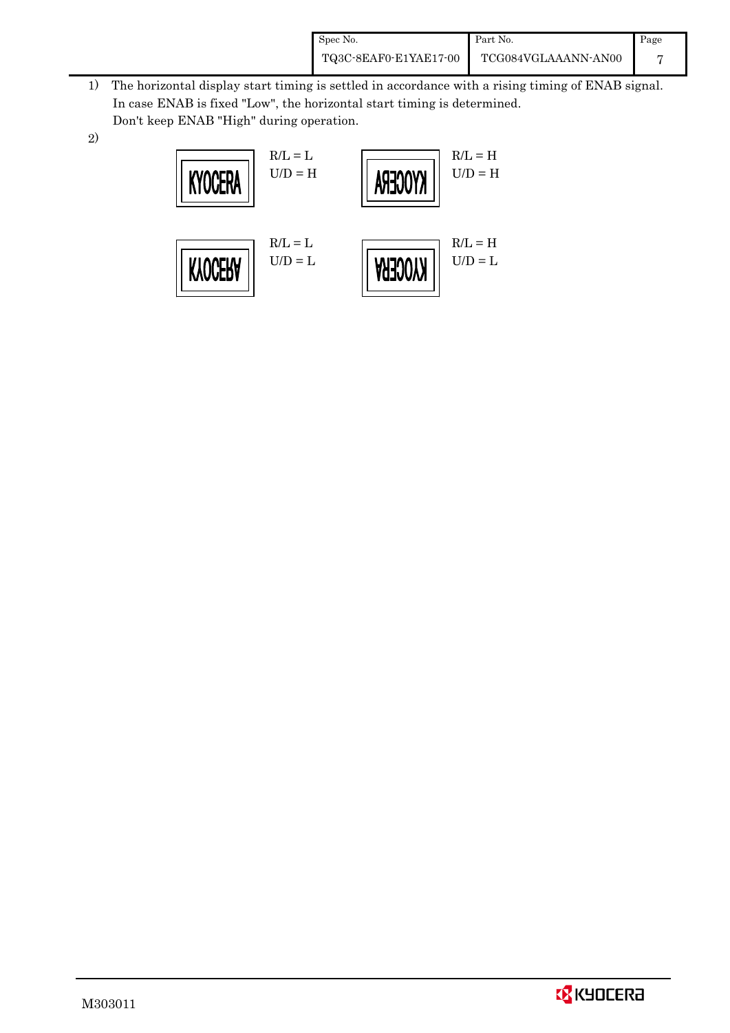| Spec No.              | Part No.            | Page |
|-----------------------|---------------------|------|
| TQ3C-8EAF0-E1YAE17-00 | TCG084VGLAAANN-AN00 |      |

- 1) The horizontal display start timing is settled in accordance with a rising timing of ENAB signal. In case ENAB is fixed "Low", the horizontal start timing is determined. Don't keep ENAB "High" during operation.
- 2)



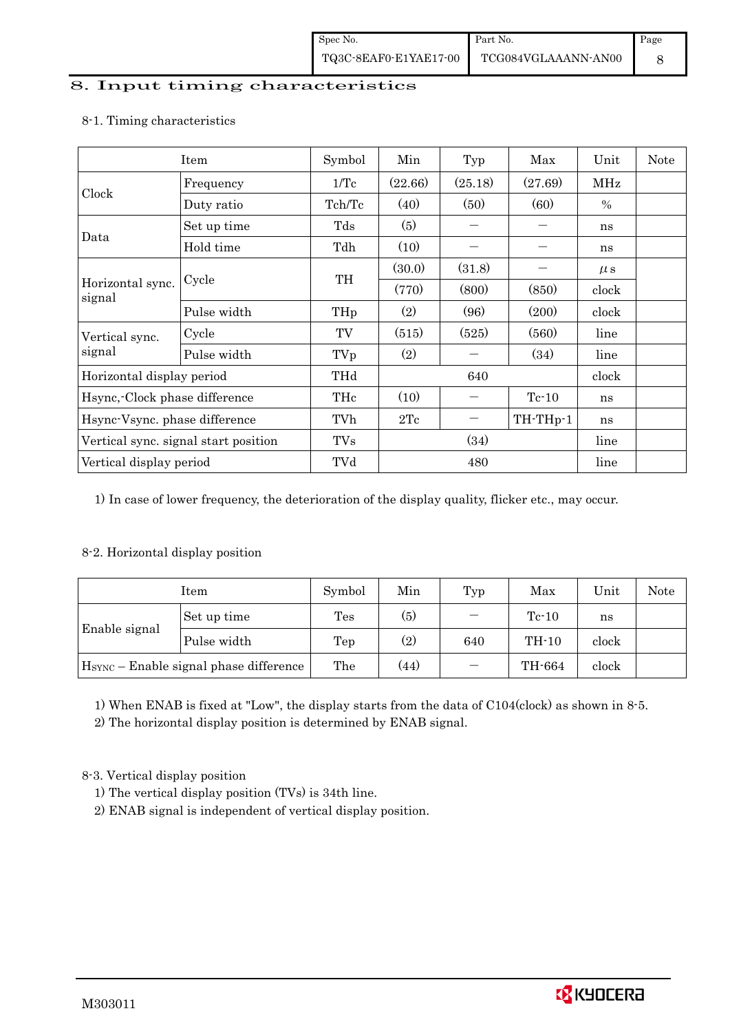#### 8. Input timing characteristics

|                                      | Item        | Symbol          | Min     | Typ      | Max     | Unit    | <b>Note</b> |
|--------------------------------------|-------------|-----------------|---------|----------|---------|---------|-------------|
|                                      | Frequency   | 1/Tc            | (22.66) | (25.18)  | (27.69) | MHz     |             |
| Clock                                | Duty ratio  | Tch/Tc          | (40)    | (50)     | (60)    | $\%$    |             |
|                                      | Set up time | Tds             | (5)     |          |         | ns      |             |
| Data                                 | Hold time   | Tdh             | (10)    |          |         | ns      |             |
|                                      |             | TH              | (30.0)  | (31.8)   |         | $\mu$ s |             |
| Horizontal sync.<br>signal           | Cycle       |                 | (770)   | (800)    | (850)   | clock   |             |
|                                      | Pulse width | TH <sub>p</sub> | (2)     | (96)     | (200)   | clock   |             |
| Vertical sync.                       | Cycle       | TV              | (515)   | (525)    | (560)   | line    |             |
| signal                               | Pulse width | TVp             | (2)     |          | (34)    | line    |             |
| Horizontal display period            |             | THd             |         | 640      |         | clock   |             |
| Hsync, Clock phase difference        |             | THc             | (10)    |          | $Te-10$ | ns      |             |
| Hsync-Vsync. phase difference        |             | TVh             | 2Tc     | TH-THp-1 |         | ns      |             |
| Vertical sync. signal start position |             | <b>TVs</b>      | (34)    |          |         | line    |             |
| Vertical display period              |             | TVd             | 480     |          |         | line    |             |

#### 8-1. Timing characteristics

1) In case of lower frequency, the deterioration of the display quality, flicker etc., may occur.

#### 8-2. Horizontal display position

|                                                    | Item        | Symbol         | Min  | Typ                      | Max     | Unit  | Note |
|----------------------------------------------------|-------------|----------------|------|--------------------------|---------|-------|------|
|                                                    | Set up time | $\mathrm{Tes}$ | (5)  | $\overline{\phantom{0}}$ | $Te-10$ | ns    |      |
| Enable signal                                      | Pulse width | Tep            | (2)  | 640                      | $TH-10$ | clock |      |
| H <sub>SYNC</sub> – Enable signal phase difference |             | The            | (44) |                          | TH-664  | clock |      |

1) When ENAB is fixed at "Low", the display starts from the data of C104(clock) as shown in 8-5.

2) The horizontal display position is determined by ENAB signal.

8-3. Vertical display position

- 1) The vertical display position (TVs) is 34th line.
- 2) ENAB signal is independent of vertical display position.

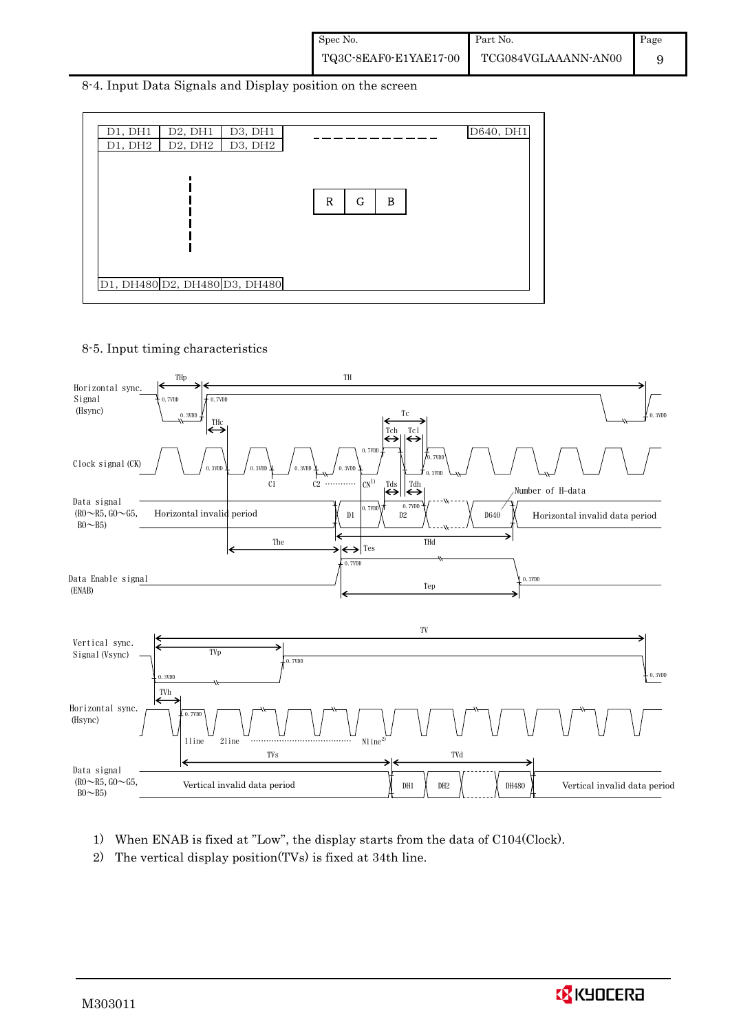8-4. Input Data Signals and Display position on the screen



8-5. Input timing characteristics



- 1) When ENAB is fixed at "Low", the display starts from the data of C104(Clock).
- 2) The vertical display position(TVs) is fixed at 34th line.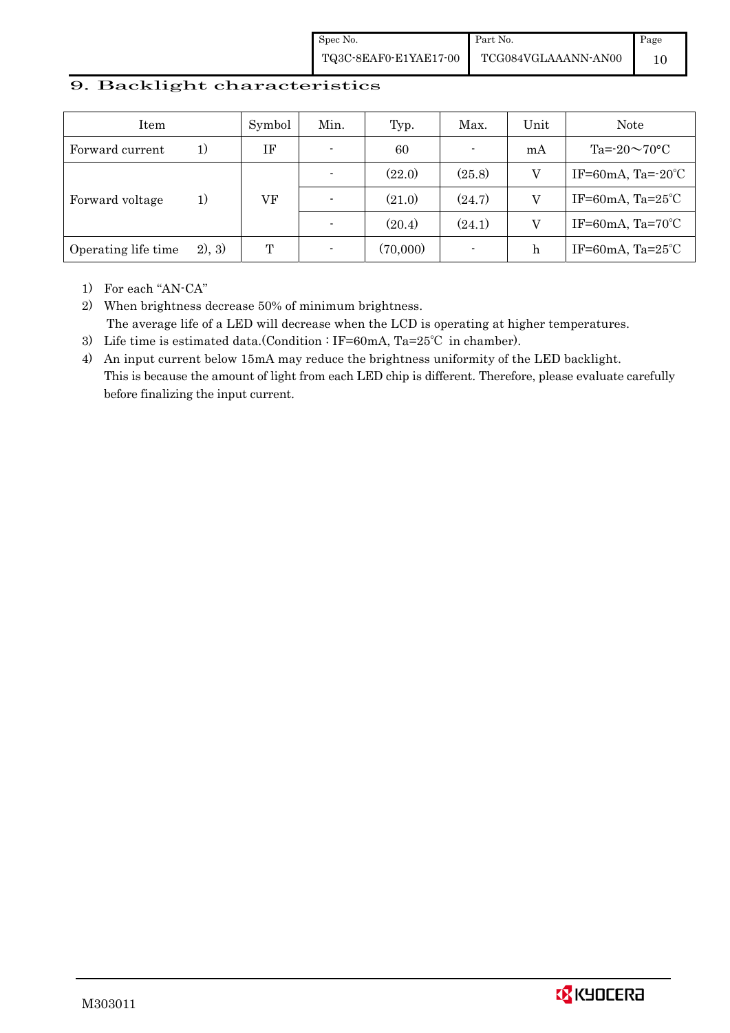Spec No. TQ3C-8EAF0-E1YAE17-00 Part No. TCG084VGLAAANN-AN00 Page 10

#### 9. Backlight characteristics

| Item                |         | Symbol | Min. | Typ.     | Max.                     | Unit | <b>Note</b>                  |
|---------------------|---------|--------|------|----------|--------------------------|------|------------------------------|
| Forward current     | 1)      | ΙF     |      | 60       | $\blacksquare$           | mA   | Ta= $-20 \sim 70$ °C         |
|                     |         |        |      | (22.0)   | (25.8)                   |      | IF=60mA, Ta= $-20^{\circ}$ C |
| Forward voltage     | 1)      | VF     |      | (21.0)   | (24.7)                   |      | IF=60mA, Ta= $25^{\circ}$ C  |
|                     |         |        |      | (20.4)   | (24.1)                   | V    | IF=60mA, $Ta=70^{\circ}C$    |
| Operating life time | (2), 3) | T      |      | (70,000) | $\overline{\phantom{a}}$ | h    | IF=60mA, $Ta=25^{\circ}C$    |

1) For each "AN-CA"

2) When brightness decrease 50% of minimum brightness. The average life of a LED will decrease when the LCD is operating at higher temperatures.

- 3) Life time is estimated data.(Condition : IF=60mA, Ta=25℃ in chamber).
- 4) An input current below 15mA may reduce the brightness uniformity of the LED backlight. This is because the amount of light from each LED chip is different. Therefore, please evaluate carefully before finalizing the input current.

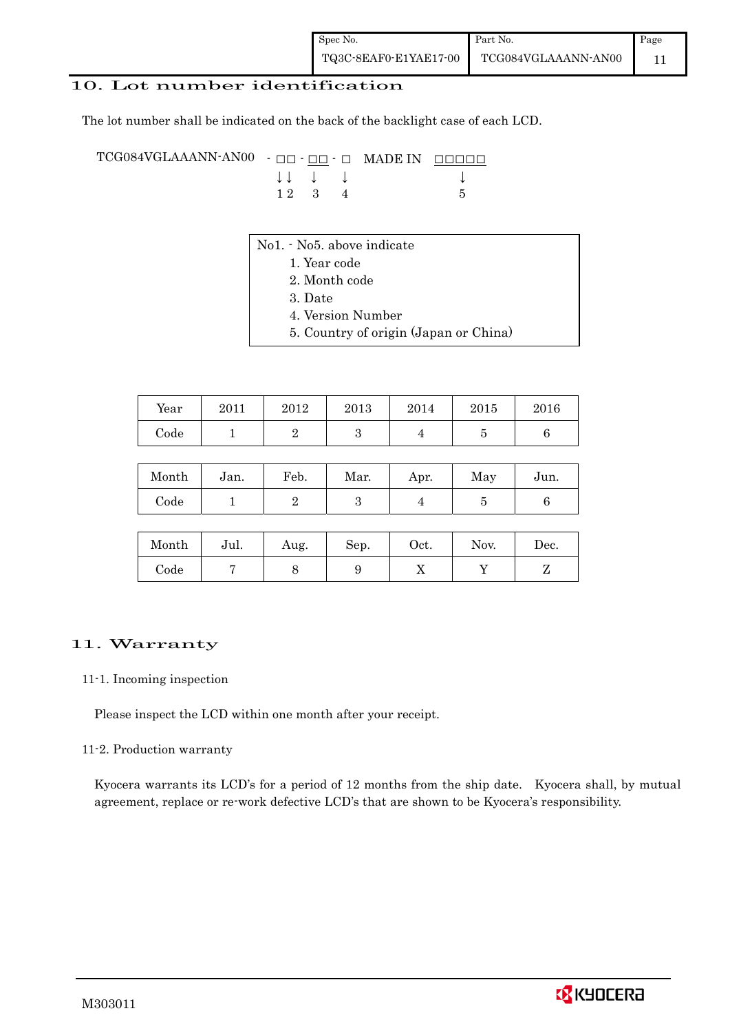#### 10. Lot number identification

The lot number shall be indicated on the back of the backlight case of each LCD.

TCG084VGLAAANN-AN00 -  $\Box$  $\Box$  -  $\Box$  $\Box$   $\Box$  MADE IN  $\Box$  $\Box$  $\Box$  $\Box$  $\downarrow \downarrow \quad \downarrow \quad \downarrow$  $1 \ 2 \ 3 \ 4$  5

- No1. No5. above indicate
	- 1. Year code
		- 2. Month code
		- 3. Date
		- 4. Version Number
		- 5. Country of origin (Japan or China)

| Year | 2011 | 2012 | 2013 | 2014 | 2015 | 2016 |
|------|------|------|------|------|------|------|
| Code |      |      |      |      |      |      |

| Month      | Jan. | Feb. | Mar. | Apr. | May | Jun. |
|------------|------|------|------|------|-----|------|
| $\rm Code$ |      |      |      |      |     |      |

| Month      | Jul. | Aug. | Sep. | Oct. | Nov. | Dec. |
|------------|------|------|------|------|------|------|
| $\rm Code$ |      |      |      | ∡⊾   |      |      |

#### 11. Warranty

#### 11-1. Incoming inspection

Please inspect the LCD within one month after your receipt.

#### 11-2. Production warranty

 Kyocera warrants its LCD's for a period of 12 months from the ship date. Kyocera shall, by mutual agreement, replace or re-work defective LCD's that are shown to be Kyocera's responsibility.

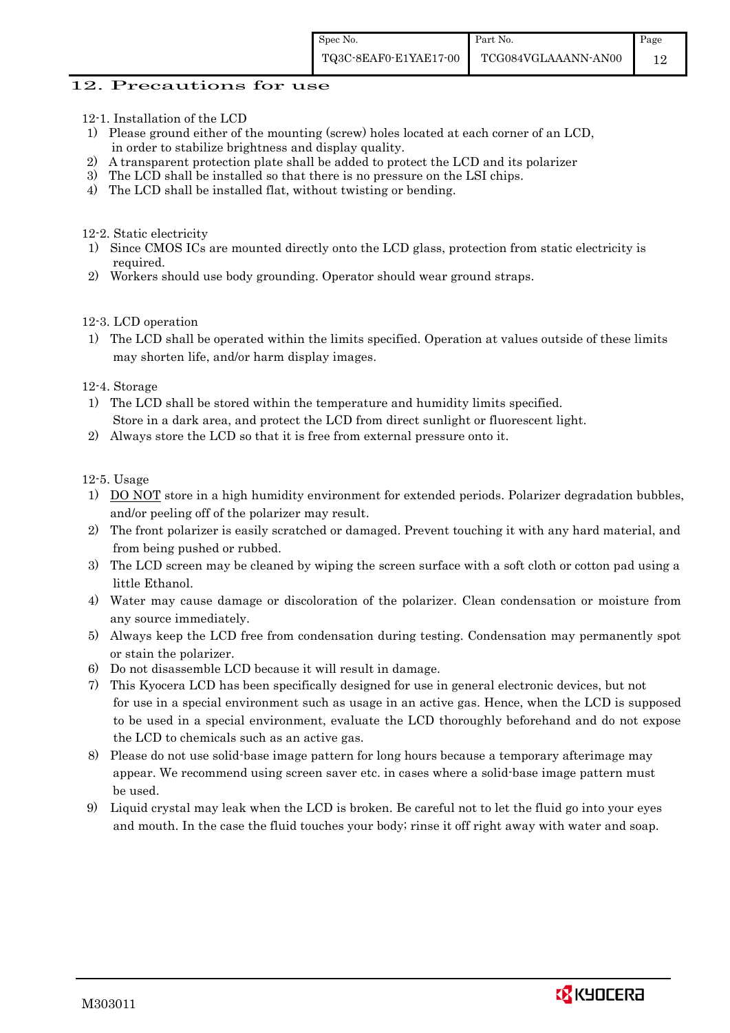#### 12. Precautions for use

- 12-1. Installation of the LCD
- 1) Please ground either of the mounting (screw) holes located at each corner of an LCD, in order to stabilize brightness and display quality.
- 2) A transparent protection plate shall be added to protect the LCD and its polarizer
- 3) The LCD shall be installed so that there is no pressure on the LSI chips.
- 4) The LCD shall be installed flat, without twisting or bending.

12-2. Static electricity

- 1) Since CMOS ICs are mounted directly onto the LCD glass, protection from static electricity is required.
- 2) Workers should use body grounding. Operator should wear ground straps.

12-3. LCD operation

1) The LCD shall be operated within the limits specified. Operation at values outside of these limits may shorten life, and/or harm display images.

12-4. Storage

- 1) The LCD shall be stored within the temperature and humidity limits specified. Store in a dark area, and protect the LCD from direct sunlight or fluorescent light.
- 2) Always store the LCD so that it is free from external pressure onto it.

12-5. Usage

- 1) DO NOT store in a high humidity environment for extended periods. Polarizer degradation bubbles, and/or peeling off of the polarizer may result.
- 2) The front polarizer is easily scratched or damaged. Prevent touching it with any hard material, and from being pushed or rubbed.
- 3) The LCD screen may be cleaned by wiping the screen surface with a soft cloth or cotton pad using a little Ethanol.
- 4) Water may cause damage or discoloration of the polarizer. Clean condensation or moisture from any source immediately.
- 5) Always keep the LCD free from condensation during testing. Condensation may permanently spot or stain the polarizer.
- 6) Do not disassemble LCD because it will result in damage.
- 7) This Kyocera LCD has been specifically designed for use in general electronic devices, but not for use in a special environment such as usage in an active gas. Hence, when the LCD is supposed to be used in a special environment, evaluate the LCD thoroughly beforehand and do not expose the LCD to chemicals such as an active gas.
- 8) Please do not use solid-base image pattern for long hours because a temporary afterimage may appear. We recommend using screen saver etc. in cases where a solid-base image pattern must be used.
- 9) Liquid crystal may leak when the LCD is broken. Be careful not to let the fluid go into your eyes and mouth. In the case the fluid touches your body; rinse it off right away with water and soap.

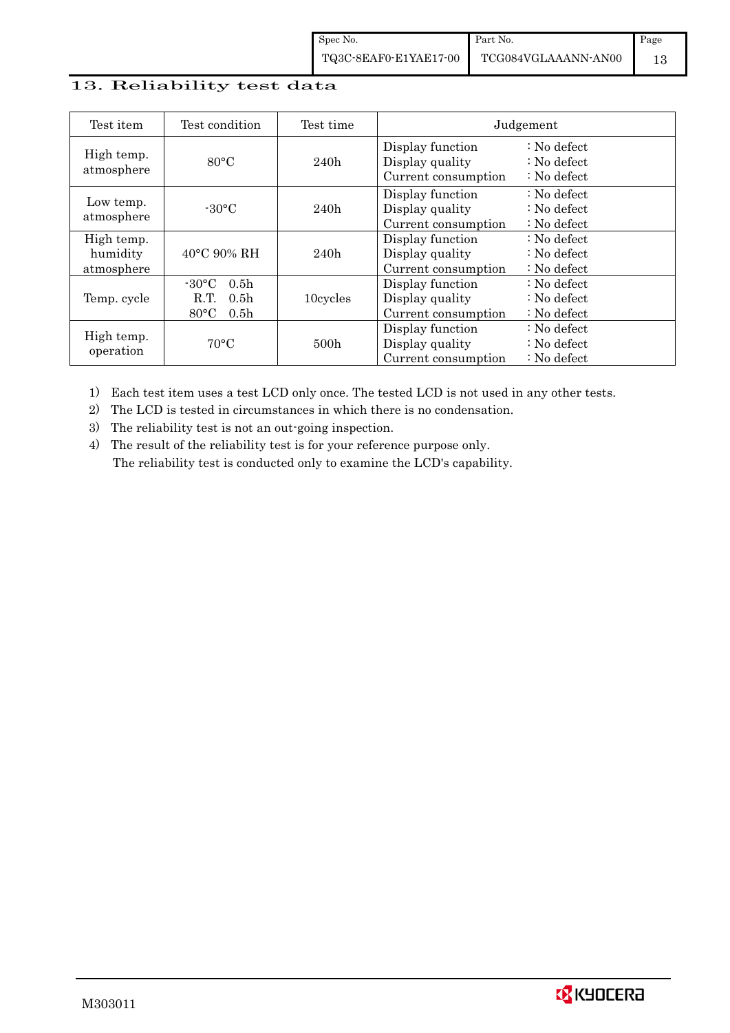# 13. Reliability test data

| Test item                            | Test condition                                                                                        | Test time        |                                                            | Judgement                                                                  |
|--------------------------------------|-------------------------------------------------------------------------------------------------------|------------------|------------------------------------------------------------|----------------------------------------------------------------------------|
| High temp.<br>atmosphere             | $80^{\circ}$ C                                                                                        | 240h             | Display function<br>Display quality<br>Current consumption | $\therefore$ No defect<br>$\therefore$ No defect<br>$\therefore$ No defect |
| Low temp.<br>atmosphere              | $-30$ °C                                                                                              | 240h             | Display function<br>Display quality<br>Current consumption | $\therefore$ No defect<br>: No defect<br>$\therefore$ No defect            |
| High temp.<br>humidity<br>atmosphere | $40^{\circ}$ C 90% RH                                                                                 | 240h             | Display function<br>Display quality<br>Current consumption | : No defect<br>$\therefore$ No defect<br>$\therefore$ No defect            |
| Temp. cycle                          | $-30^{\circ}$ C<br>0.5 <sub>h</sub><br>0.5 <sub>h</sub><br>R.T.<br>$80^{\circ}$ C<br>0.5 <sub>h</sub> | 10cycles         | Display function<br>Display quality<br>Current consumption | $\therefore$ No defect<br>$\therefore$ No defect<br>$\therefore$ No defect |
| High temp.<br>operation              | $70^{\circ}$ C                                                                                        | 500 <sub>h</sub> | Display function<br>Display quality<br>Current consumption | : No defect<br>$\therefore$ No defect<br>$\therefore$ No defect            |

1) Each test item uses a test LCD only once. The tested LCD is not used in any other tests.

2) The LCD is tested in circumstances in which there is no condensation.

3) The reliability test is not an out-going inspection.

4) The result of the reliability test is for your reference purpose only. The reliability test is conducted only to examine the LCD's capability.

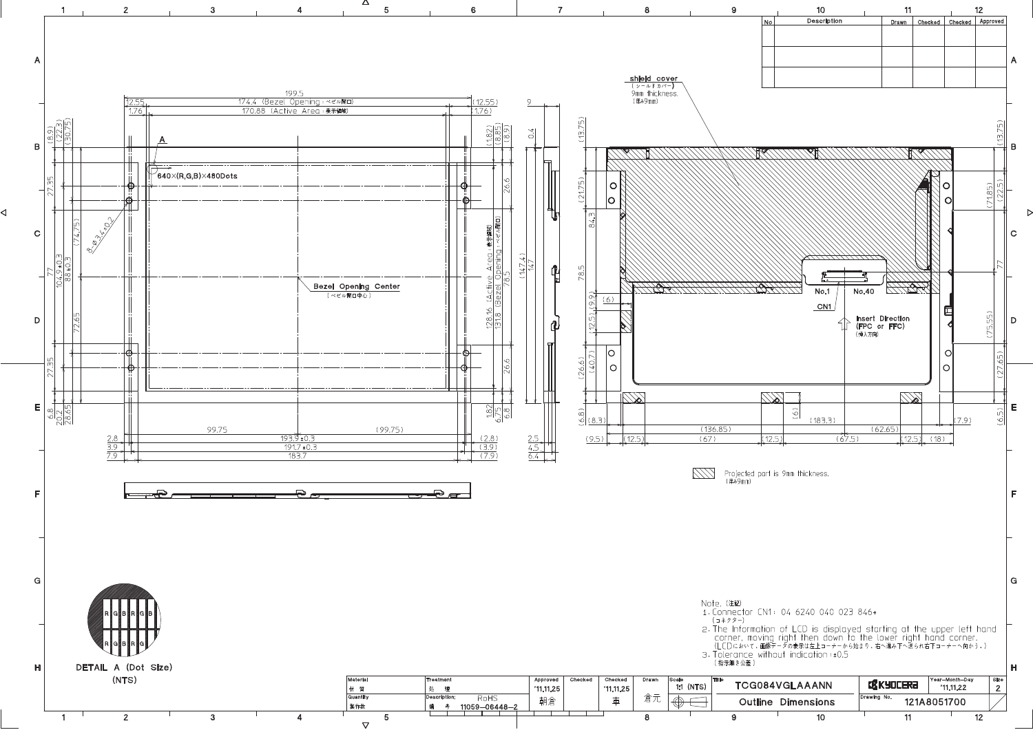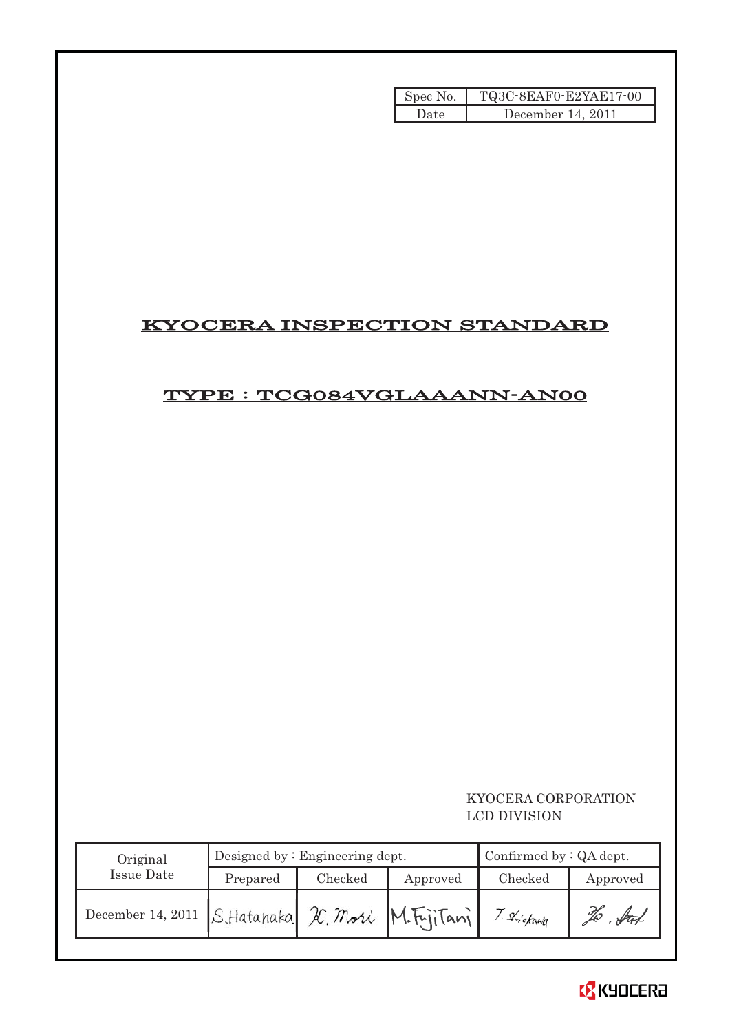| Spec No. | TQ3C-8EAF0-E2YAE17-00 |
|----------|-----------------------|
| Date     | December 14, 2011     |

# KYOCERA INSPECTION STANDARD

# TYPE : TCG084VGLAAANN-AN00

### KYOCERA CORPORATION LCD DIVISION

| Original                                        |          | Designed by $:$ Engineering dept. | Confirmed by $:QA$ dept. |          |          |
|-------------------------------------------------|----------|-----------------------------------|--------------------------|----------|----------|
| Issue Date                                      | Prepared | Checked                           | Approved                 | Checked  | Approved |
| December 14, 2011 S.Hatanaka X. Mori M.F.jiTani |          |                                   |                          | Shickawa | . fut    |

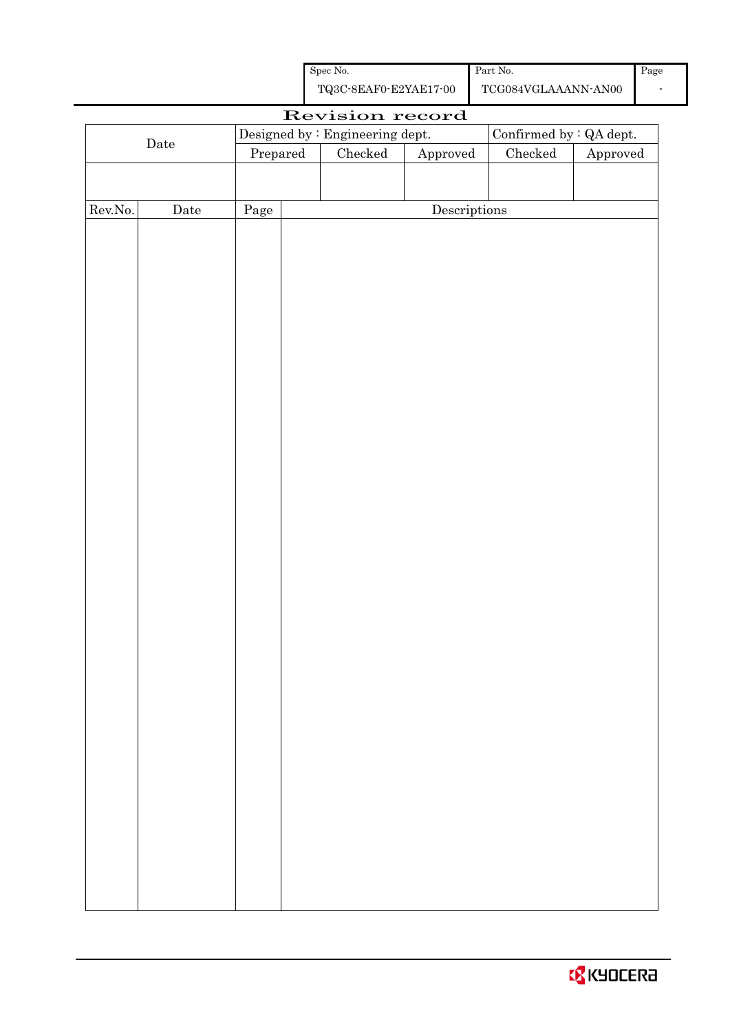| Spec No.              | Part No.            |
|-----------------------|---------------------|
| TQ3C-8EAF0-E2YAE17-00 | TCG084VGLAAANN-AN00 |

|                  |      |          | Revision record                 |                                      |                          |                        |  |
|------------------|------|----------|---------------------------------|--------------------------------------|--------------------------|------------------------|--|
| $\rm{Date}$      |      |          | Designed by : Engineering dept. |                                      | Confirmed by $:QA$ dept. |                        |  |
|                  |      | Prepared | ${\it Checked}$                 | ${\Large\bf Approved}$               | ${\it Checked}$          | ${\Large\bf Approved}$ |  |
|                  |      |          |                                 |                                      |                          |                        |  |
|                  |      |          |                                 |                                      |                          |                        |  |
| ${\rm Rev. No.}$ | Date | Page     |                                 | $\label{eq:2} \textbf{Descriptions}$ |                          |                        |  |
|                  |      |          |                                 |                                      |                          |                        |  |
|                  |      |          |                                 |                                      |                          |                        |  |
|                  |      |          |                                 |                                      |                          |                        |  |
|                  |      |          |                                 |                                      |                          |                        |  |
|                  |      |          |                                 |                                      |                          |                        |  |
|                  |      |          |                                 |                                      |                          |                        |  |
|                  |      |          |                                 |                                      |                          |                        |  |
|                  |      |          |                                 |                                      |                          |                        |  |
|                  |      |          |                                 |                                      |                          |                        |  |
|                  |      |          |                                 |                                      |                          |                        |  |
|                  |      |          |                                 |                                      |                          |                        |  |
|                  |      |          |                                 |                                      |                          |                        |  |
|                  |      |          |                                 |                                      |                          |                        |  |
|                  |      |          |                                 |                                      |                          |                        |  |
|                  |      |          |                                 |                                      |                          |                        |  |
|                  |      |          |                                 |                                      |                          |                        |  |
|                  |      |          |                                 |                                      |                          |                        |  |
|                  |      |          |                                 |                                      |                          |                        |  |
|                  |      |          |                                 |                                      |                          |                        |  |
|                  |      |          |                                 |                                      |                          |                        |  |
|                  |      |          |                                 |                                      |                          |                        |  |
|                  |      |          |                                 |                                      |                          |                        |  |
|                  |      |          |                                 |                                      |                          |                        |  |
|                  |      |          |                                 |                                      |                          |                        |  |
|                  |      |          |                                 |                                      |                          |                        |  |
|                  |      |          |                                 |                                      |                          |                        |  |
|                  |      |          |                                 |                                      |                          |                        |  |
|                  |      |          |                                 |                                      |                          |                        |  |
|                  |      |          |                                 |                                      |                          |                        |  |
|                  |      |          |                                 |                                      |                          |                        |  |
|                  |      |          |                                 |                                      |                          |                        |  |
|                  |      |          |                                 |                                      |                          |                        |  |
|                  |      |          |                                 |                                      |                          |                        |  |
|                  |      |          |                                 |                                      |                          |                        |  |
|                  |      |          |                                 |                                      |                          |                        |  |
|                  |      |          |                                 |                                      |                          |                        |  |
|                  |      |          |                                 |                                      |                          |                        |  |
|                  |      |          |                                 |                                      |                          |                        |  |
|                  |      |          |                                 |                                      |                          |                        |  |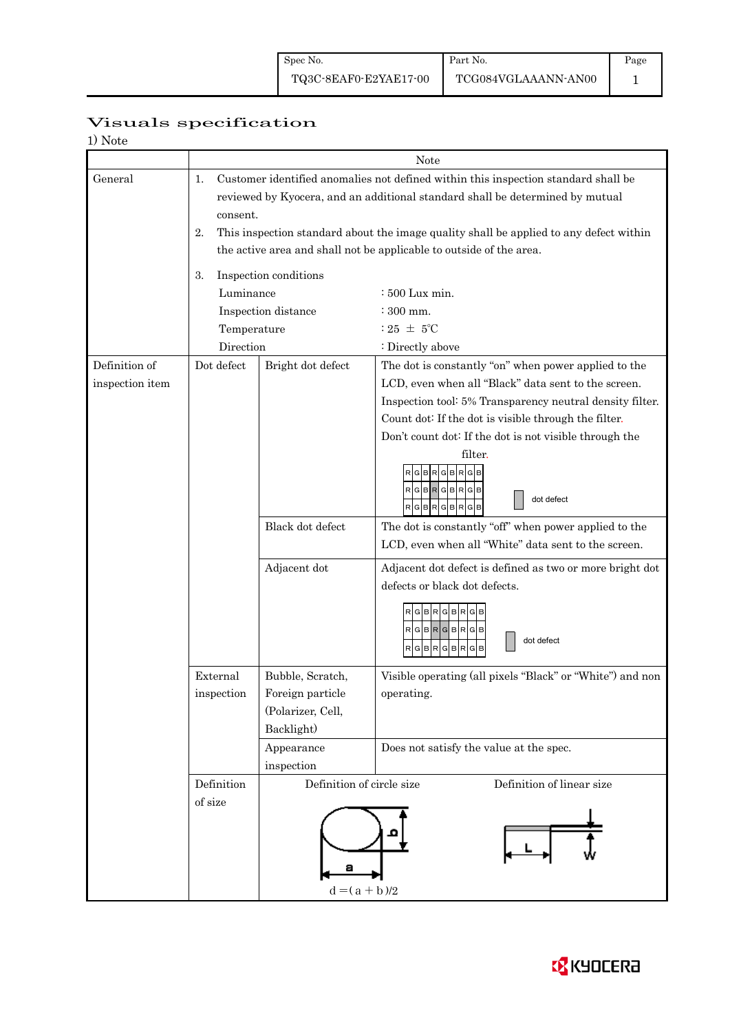Page 1

# Visuals specification

| 1) Note |
|---------|
|---------|

|                 | Note                           |                                                                                                                                                                                 |                                                                                                              |  |  |  |  |  |
|-----------------|--------------------------------|---------------------------------------------------------------------------------------------------------------------------------------------------------------------------------|--------------------------------------------------------------------------------------------------------------|--|--|--|--|--|
| General         | 1.                             | Customer identified anomalies not defined within this inspection standard shall be<br>reviewed by Kyocera, and an additional standard shall be determined by mutual<br>consent. |                                                                                                              |  |  |  |  |  |
|                 | 2.                             | This inspection standard about the image quality shall be applied to any defect within                                                                                          |                                                                                                              |  |  |  |  |  |
|                 |                                | the active area and shall not be applicable to outside of the area.                                                                                                             |                                                                                                              |  |  |  |  |  |
|                 | 3.                             | Inspection conditions                                                                                                                                                           |                                                                                                              |  |  |  |  |  |
|                 | Luminance                      |                                                                                                                                                                                 | $\div 500$ Lux min.                                                                                          |  |  |  |  |  |
|                 |                                | Inspection distance                                                                                                                                                             | : 300 mm.                                                                                                    |  |  |  |  |  |
|                 | Temperature                    |                                                                                                                                                                                 | : 25 $\pm$ 5°C                                                                                               |  |  |  |  |  |
|                 | Direction                      |                                                                                                                                                                                 | : Directly above                                                                                             |  |  |  |  |  |
| Definition of   | Dot defect                     | Bright dot defect                                                                                                                                                               | The dot is constantly "on" when power applied to the                                                         |  |  |  |  |  |
| inspection item |                                |                                                                                                                                                                                 | LCD, even when all "Black" data sent to the screen.                                                          |  |  |  |  |  |
|                 |                                |                                                                                                                                                                                 | Inspection tool: 5% Transparency neutral density filter.                                                     |  |  |  |  |  |
|                 |                                |                                                                                                                                                                                 | Count dot: If the dot is visible through the filter.                                                         |  |  |  |  |  |
|                 |                                |                                                                                                                                                                                 | Don't count dot: If the dot is not visible through the                                                       |  |  |  |  |  |
|                 |                                |                                                                                                                                                                                 | filter.<br>R<br>RGBRGBRGB<br>dot defect<br>R G B R G B R G B                                                 |  |  |  |  |  |
|                 |                                | Black dot defect                                                                                                                                                                | The dot is constantly "off" when power applied to the<br>LCD, even when all "White" data sent to the screen. |  |  |  |  |  |
|                 |                                |                                                                                                                                                                                 |                                                                                                              |  |  |  |  |  |
|                 |                                | Adjacent dot                                                                                                                                                                    | Adjacent dot defect is defined as two or more bright dot<br>defects or black dot defects.                    |  |  |  |  |  |
|                 |                                |                                                                                                                                                                                 | RGBRGBRGB<br>$RG$ B $RG$ B $RG$ B<br>dot defect<br>$G$ BRGBR<br>G                                            |  |  |  |  |  |
|                 | External                       | Bubble, Scratch,                                                                                                                                                                | Visible operating (all pixels "Black" or "White") and non                                                    |  |  |  |  |  |
|                 | Foreign particle<br>inspection |                                                                                                                                                                                 | operating.                                                                                                   |  |  |  |  |  |
|                 |                                | (Polarizer, Cell,                                                                                                                                                               |                                                                                                              |  |  |  |  |  |
|                 |                                | Backlight)                                                                                                                                                                      |                                                                                                              |  |  |  |  |  |
|                 |                                | Appearance                                                                                                                                                                      | Does not satisfy the value at the spec.                                                                      |  |  |  |  |  |
|                 |                                | inspection                                                                                                                                                                      |                                                                                                              |  |  |  |  |  |
|                 | Definition                     | Definition of circle size                                                                                                                                                       | Definition of linear size                                                                                    |  |  |  |  |  |
|                 | of size                        | а<br>$d = (a + b)/2$                                                                                                                                                            |                                                                                                              |  |  |  |  |  |